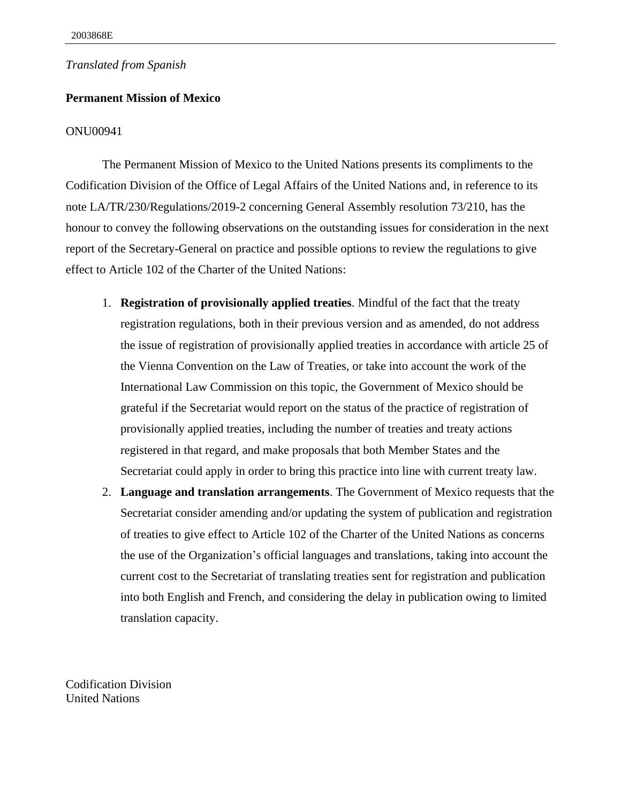## *Translated from Spanish*

## **Permanent Mission of Mexico**

## ONU00941

The Permanent Mission of Mexico to the United Nations presents its compliments to the Codification Division of the Office of Legal Affairs of the United Nations and, in reference to its note LA/TR/230/Regulations/2019-2 concerning General Assembly resolution 73/210, has the honour to convey the following observations on the outstanding issues for consideration in the next report of the Secretary-General on practice and possible options to review the regulations to give effect to Article 102 of the Charter of the United Nations:

- 1. **Registration of provisionally applied treaties**. Mindful of the fact that the treaty registration regulations, both in their previous version and as amended, do not address the issue of registration of provisionally applied treaties in accordance with article 25 of the Vienna Convention on the Law of Treaties, or take into account the work of the International Law Commission on this topic, the Government of Mexico should be grateful if the Secretariat would report on the status of the practice of registration of provisionally applied treaties, including the number of treaties and treaty actions registered in that regard, and make proposals that both Member States and the Secretariat could apply in order to bring this practice into line with current treaty law.
- 2. **Language and translation arrangements**. The Government of Mexico requests that the Secretariat consider amending and/or updating the system of publication and registration of treaties to give effect to Article 102 of the Charter of the United Nations as concerns the use of the Organization's official languages and translations, taking into account the current cost to the Secretariat of translating treaties sent for registration and publication into both English and French, and considering the delay in publication owing to limited translation capacity.

Codification Division United Nations